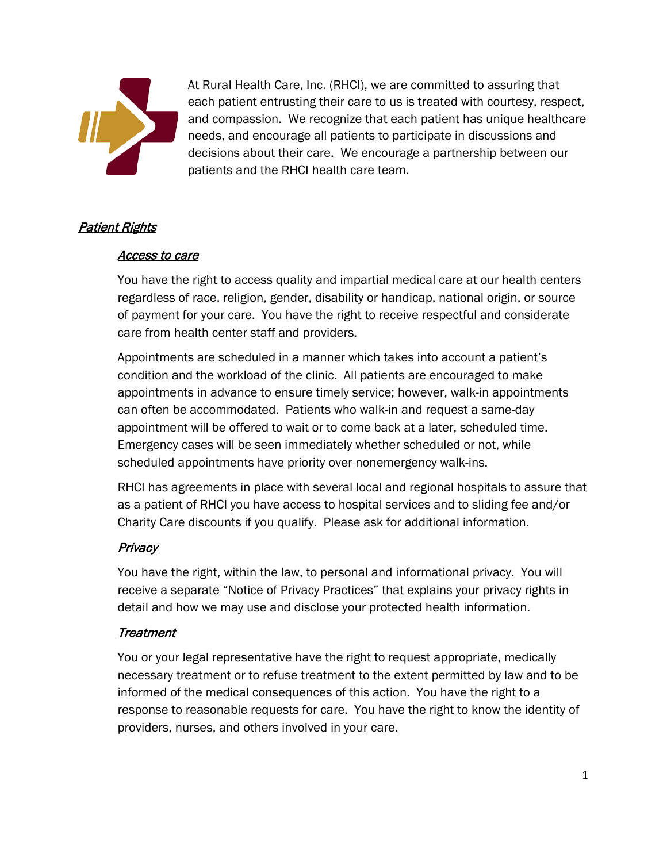

At Rural Health Care, Inc. (RHCI), we are committed to assuring that each patient entrusting their care to us is treated with courtesy, respect, and compassion. We recognize that each patient has unique healthcare needs, and encourage all patients to participate in discussions and decisions about their care. We encourage a partnership between our patients and the RHCI health care team.

## Patient Rights

#### Access to care

You have the right to access quality and impartial medical care at our health centers regardless of race, religion, gender, disability or handicap, national origin, or source of payment for your care. You have the right to receive respectful and considerate care from health center staff and providers.

Appointments are scheduled in a manner which takes into account a patient's condition and the workload of the clinic. All patients are encouraged to make appointments in advance to ensure timely service; however, walk-in appointments can often be accommodated. Patients who walk-in and request a same-day appointment will be offered to wait or to come back at a later, scheduled time. Emergency cases will be seen immediately whether scheduled or not, while scheduled appointments have priority over nonemergency walk-ins.

RHCI has agreements in place with several local and regional hospitals to assure that as a patient of RHCI you have access to hospital services and to sliding fee and/or Charity Care discounts if you qualify. Please ask for additional information.

## <u>Privacy</u>

You have the right, within the law, to personal and informational privacy. You will receive a separate "Notice of Privacy Practices" that explains your privacy rights in detail and how we may use and disclose your protected health information.

## Treatment

You or your legal representative have the right to request appropriate, medically necessary treatment or to refuse treatment to the extent permitted by law and to be informed of the medical consequences of this action. You have the right to a response to reasonable requests for care. You have the right to know the identity of providers, nurses, and others involved in your care.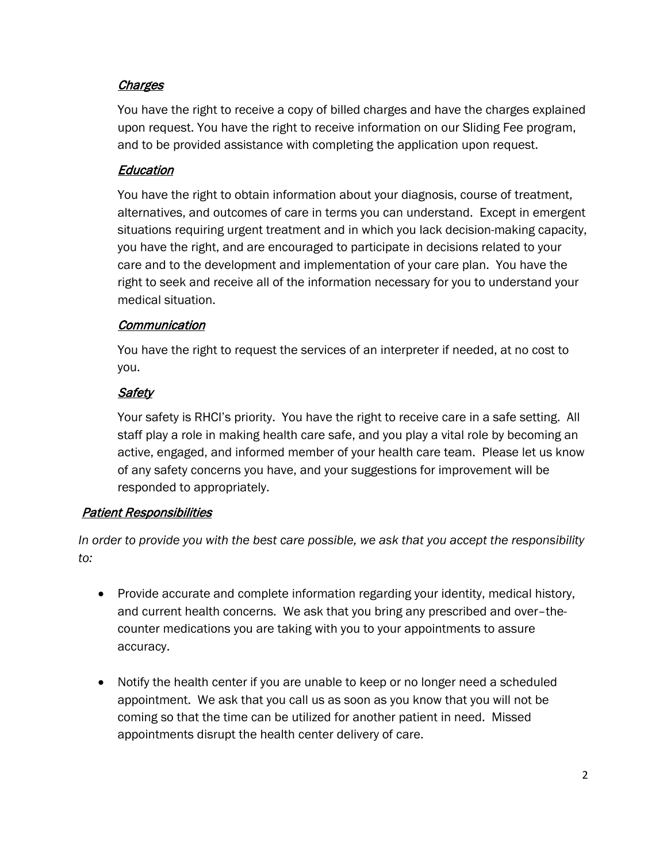# **Charges**

You have the right to receive a copy of billed charges and have the charges explained upon request. You have the right to receive information on our Sliding Fee program, and to be provided assistance with completing the application upon request.

## **Education**

You have the right to obtain information about your diagnosis, course of treatment, alternatives, and outcomes of care in terms you can understand. Except in emergent situations requiring urgent treatment and in which you lack decision-making capacity, you have the right, and are encouraged to participate in decisions related to your care and to the development and implementation of your care plan. You have the right to seek and receive all of the information necessary for you to understand your medical situation.

## **Communication**

You have the right to request the services of an interpreter if needed, at no cost to you.

## **Safety**

Your safety is RHCI's priority. You have the right to receive care in a safe setting. All staff play a role in making health care safe, and you play a vital role by becoming an active, engaged, and informed member of your health care team. Please let us know of any safety concerns you have, and your suggestions for improvement will be responded to appropriately.

## Patient Responsibilities

*In order to provide you with the best care possible, we ask that you accept the responsibility to:*

- Provide accurate and complete information regarding your identity, medical history, and current health concerns. We ask that you bring any prescribed and over–thecounter medications you are taking with you to your appointments to assure accuracy.
- Notify the health center if you are unable to keep or no longer need a scheduled appointment. We ask that you call us as soon as you know that you will not be coming so that the time can be utilized for another patient in need. Missed appointments disrupt the health center delivery of care.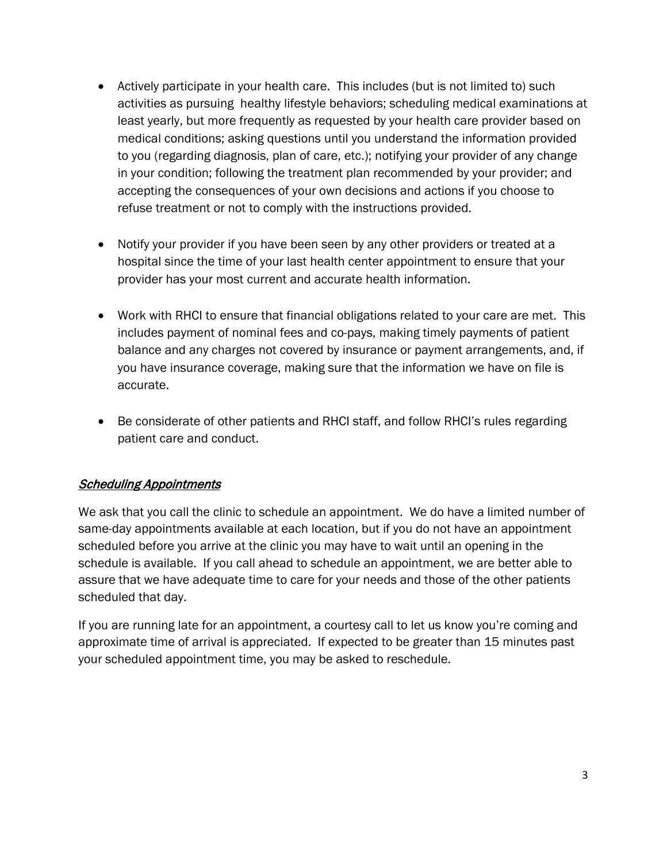- Actively participate in your health care. This includes (but is not limited to) such activities as pursuing healthy lifestyle behaviors; scheduling medical examinations at least yearly, but more frequently as requested by your health care provider based on medical conditions; asking questions until you understand the information provided to you (regarding diagnosis, plan of care, etc.); notifying your provider of any change in your condition; following the treatment plan recommended by your provider; and accepting the consequences of your own decisions and actions if you choose to refuse treatment or not to comply with the instructions provided.
- Notify your provider if you have been seen by any other providers or treated at a hospital since the time of your last health center appointment to ensure that your provider has your most current and accurate health information.
- Work with RHCI to ensure that financial obligations related to your care are met. This includes payment of nominal fees and co-pays, making timely payments of patient balance and any charges not covered by insurance or payment arrangements, and, if you have insurance coverage, making sure that the information we have on file is accurate.
- Be considerate of other patients and RHCI staff, and follow RHCI's rules regarding patient care and conduct.

## **Scheduling Appointments**

We ask that you call the clinic to schedule an appointment. We do have a limited number of same-day appointments available at each location, but if you do not have an appointment scheduled before you arrive at the clinic you may have to wait until an opening in the schedule is available. If you call ahead to schedule an appointment, we are better able to assure that we have adequate time to care for your needs and those of the other patients scheduled that day.

If you are running late for an appointment, a courtesy call to let us know you're coming and approximate time of arrival is appreciated. If expected to be greater than 15 minutes past your scheduled appointment time, you may be asked to reschedule.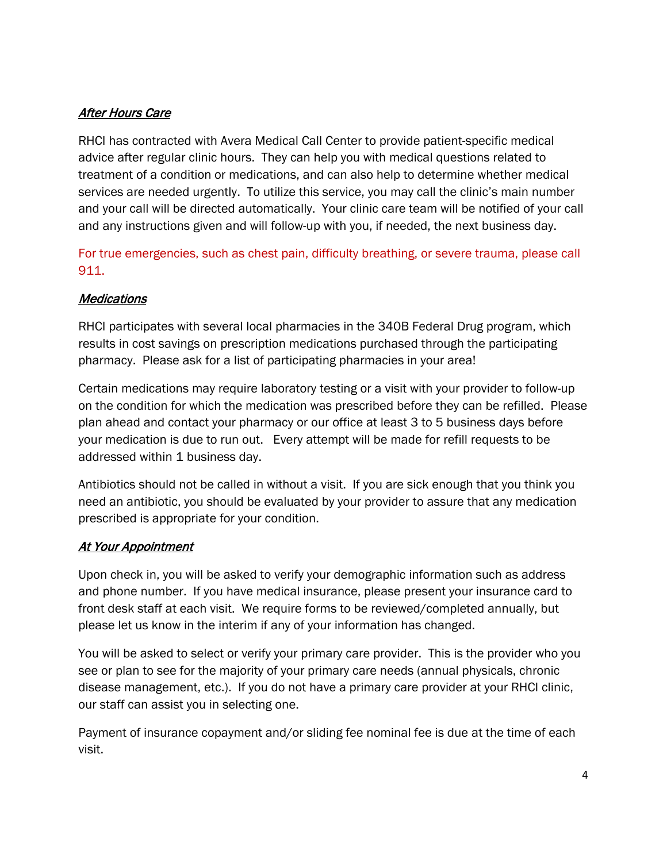# **After Hours Care**

RHCI has contracted with Avera Medical Call Center to provide patient-specific medical advice after regular clinic hours. They can help you with medical questions related to treatment of a condition or medications, and can also help to determine whether medical services are needed urgently. To utilize this service, you may call the clinic's main number and your call will be directed automatically. Your clinic care team will be notified of your call and any instructions given and will follow-up with you, if needed, the next business day.

For true emergencies, such as chest pain, difficulty breathing, or severe trauma, please call 911.

#### **Medications**

RHCI participates with several local pharmacies in the 340B Federal Drug program, which results in cost savings on prescription medications purchased through the participating pharmacy. Please ask for a list of participating pharmacies in your area!

Certain medications may require laboratory testing or a visit with your provider to follow-up on the condition for which the medication was prescribed before they can be refilled. Please plan ahead and contact your pharmacy or our office at least 3 to 5 business days before your medication is due to run out. Every attempt will be made for refill requests to be addressed within 1 business day.

Antibiotics should not be called in without a visit. If you are sick enough that you think you need an antibiotic, you should be evaluated by your provider to assure that any medication prescribed is appropriate for your condition.

#### At Your Appointment

Upon check in, you will be asked to verify your demographic information such as address and phone number. If you have medical insurance, please present your insurance card to front desk staff at each visit. We require forms to be reviewed/completed annually, but please let us know in the interim if any of your information has changed.

You will be asked to select or verify your primary care provider. This is the provider who you see or plan to see for the majority of your primary care needs (annual physicals, chronic disease management, etc.). If you do not have a primary care provider at your RHCI clinic, our staff can assist you in selecting one.

Payment of insurance copayment and/or sliding fee nominal fee is due at the time of each visit.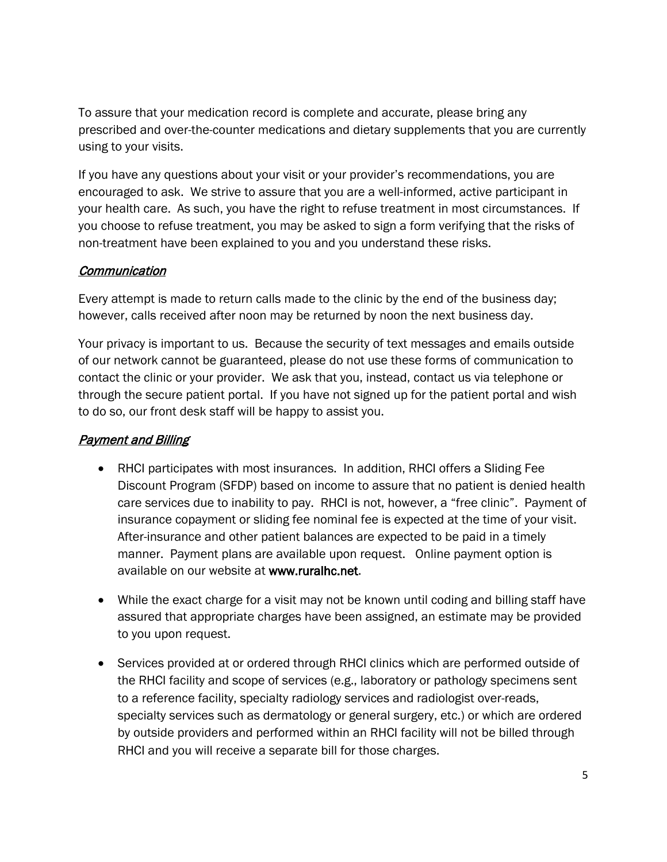To assure that your medication record is complete and accurate, please bring any prescribed and over-the-counter medications and dietary supplements that you are currently using to your visits.

If you have any questions about your visit or your provider's recommendations, you are encouraged to ask. We strive to assure that you are a well-informed, active participant in your health care. As such, you have the right to refuse treatment in most circumstances. If you choose to refuse treatment, you may be asked to sign a form verifying that the risks of non-treatment have been explained to you and you understand these risks.

#### **Communication**

Every attempt is made to return calls made to the clinic by the end of the business day; however, calls received after noon may be returned by noon the next business day.

Your privacy is important to us. Because the security of text messages and emails outside of our network cannot be guaranteed, please do not use these forms of communication to contact the clinic or your provider. We ask that you, instead, contact us via telephone or through the secure patient portal. If you have not signed up for the patient portal and wish to do so, our front desk staff will be happy to assist you.

## **Payment and Billing**

- RHCI participates with most insurances. In addition, RHCI offers a Sliding Fee Discount Program (SFDP) based on income to assure that no patient is denied health care services due to inability to pay. RHCI is not, however, a "free clinic". Payment of insurance copayment or sliding fee nominal fee is expected at the time of your visit. After-insurance and other patient balances are expected to be paid in a timely manner. Payment plans are available upon request. Online payment option is available on our website at www.ruralhc.net.
- While the exact charge for a visit may not be known until coding and billing staff have assured that appropriate charges have been assigned, an estimate may be provided to you upon request.
- Services provided at or ordered through RHCI clinics which are performed outside of the RHCI facility and scope of services (e.g., laboratory or pathology specimens sent to a reference facility, specialty radiology services and radiologist over-reads, specialty services such as dermatology or general surgery, etc.) or which are ordered by outside providers and performed within an RHCI facility will not be billed through RHCI and you will receive a separate bill for those charges.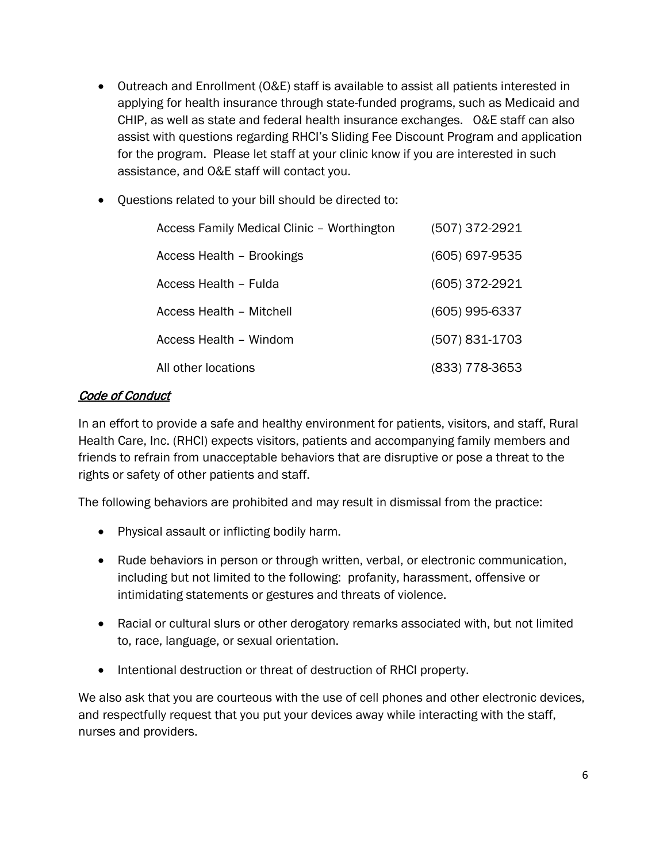- Outreach and Enrollment (O&E) staff is available to assist all patients interested in applying for health insurance through state-funded programs, such as Medicaid and CHIP, as well as state and federal health insurance exchanges. O&E staff can also assist with questions regarding RHCI's Sliding Fee Discount Program and application for the program. Please let staff at your clinic know if you are interested in such assistance, and O&E staff will contact you.
- Questions related to your bill should be directed to:

| Access Family Medical Clinic - Worthington | (507) 372-2921   |
|--------------------------------------------|------------------|
| Access Health - Brookings                  | (605) 697-9535   |
| Access Health - Fulda                      | (605) 372-2921   |
| Access Health - Mitchell                   | $(605)$ 995-6337 |
| Access Health - Windom                     | (507) 831-1703   |
| All other locations                        | (833) 778-3653   |

# Code of Conduct

In an effort to provide a safe and healthy environment for patients, visitors, and staff, Rural Health Care, Inc. (RHCI) expects visitors, patients and accompanying family members and friends to refrain from unacceptable behaviors that are disruptive or pose a threat to the rights or safety of other patients and staff.

The following behaviors are prohibited and may result in dismissal from the practice:

- Physical assault or inflicting bodily harm.
- Rude behaviors in person or through written, verbal, or electronic communication, including but not limited to the following: profanity, harassment, offensive or intimidating statements or gestures and threats of violence.
- Racial or cultural slurs or other derogatory remarks associated with, but not limited to, race, language, or sexual orientation.
- Intentional destruction or threat of destruction of RHCI property.

We also ask that you are courteous with the use of cell phones and other electronic devices, and respectfully request that you put your devices away while interacting with the staff, nurses and providers.